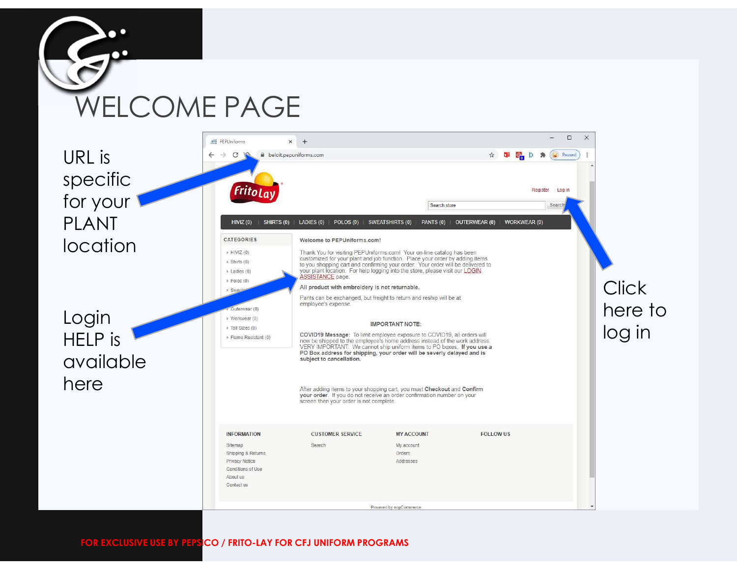

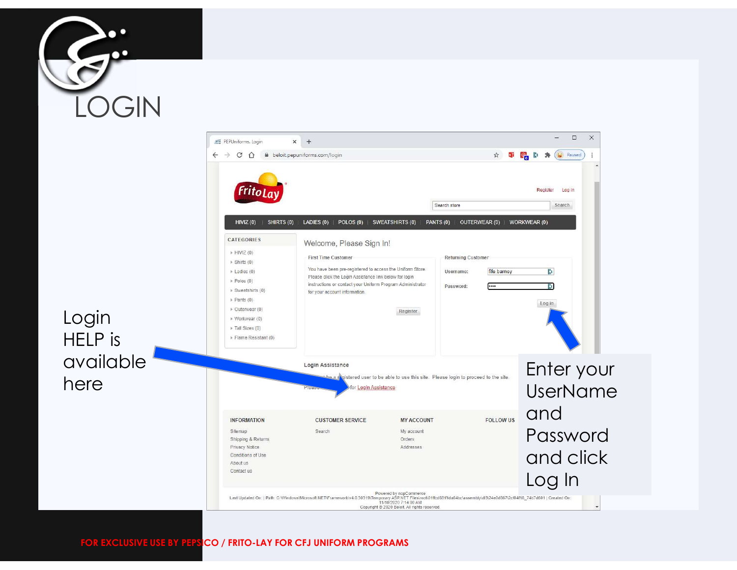

Login

here

HELP is

available

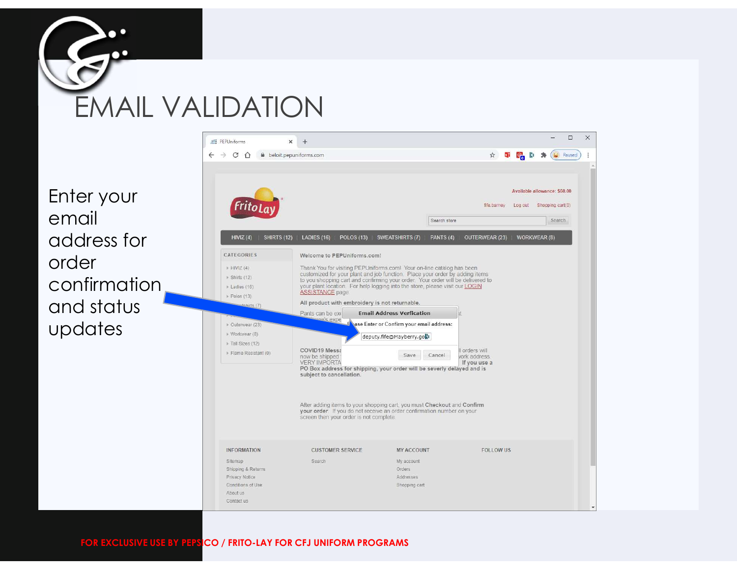

Enter your email address for **Address for** order Confirmation **Confirmation** and status updates **in the second of the Second Content** Reserves (8)

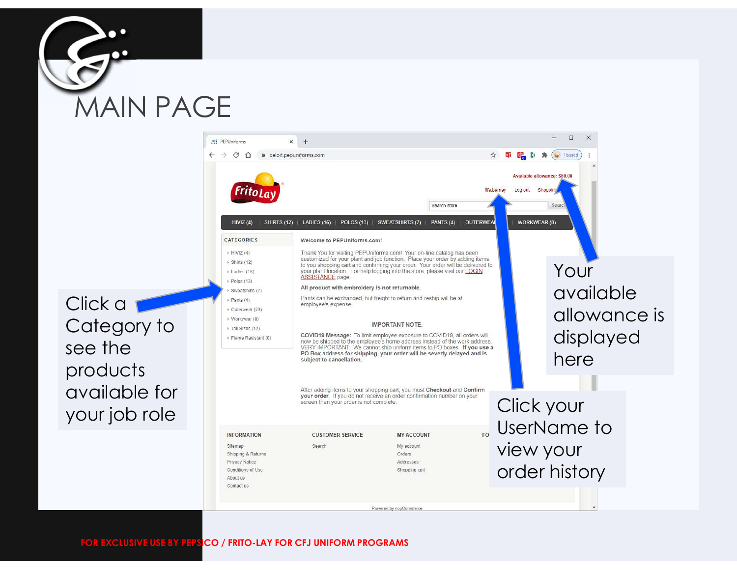



Click a Category to strain sizes (12) see the products available for your job role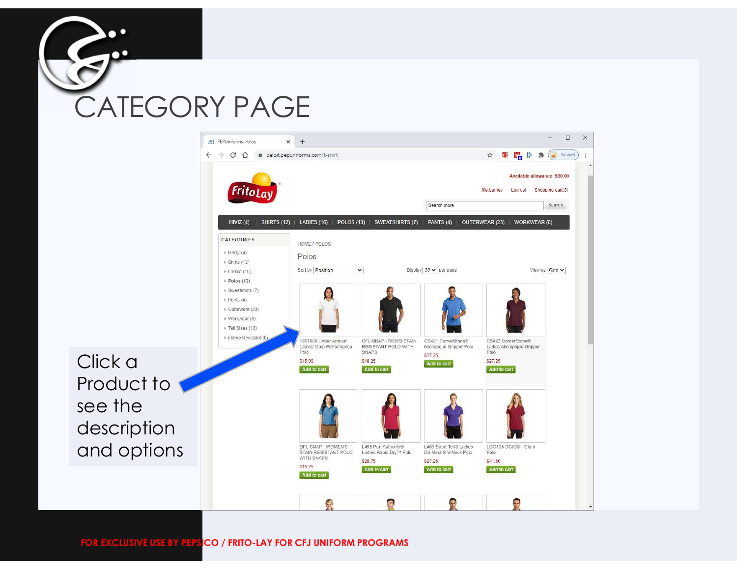

Click a

see the

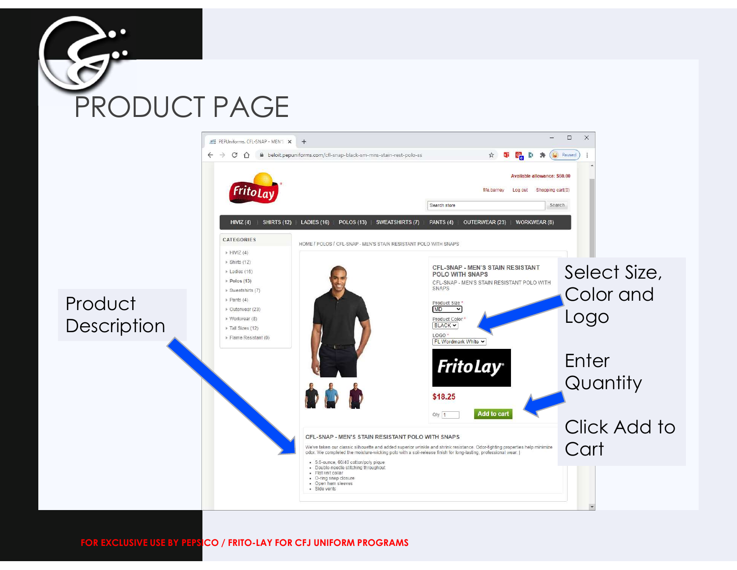

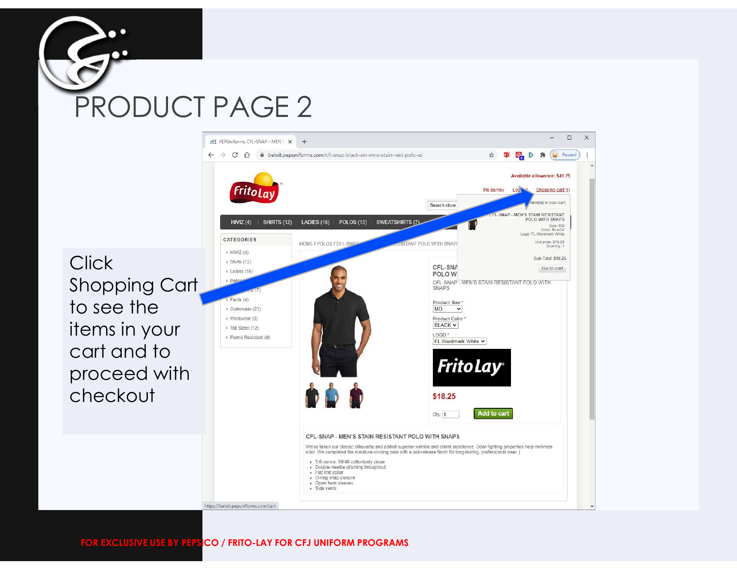



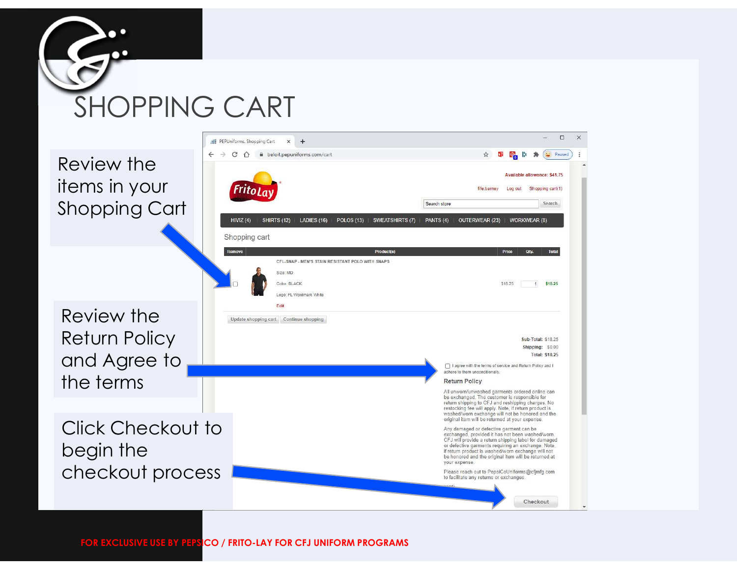



 $\Box$  $\times$ 

## PEPUniforms. Shopping Cart x +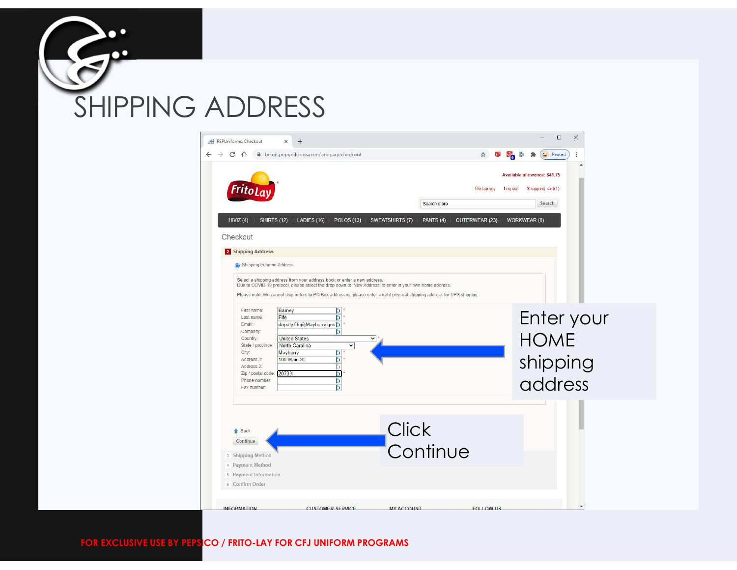![](_page_8_Picture_0.jpeg)

![](_page_8_Picture_1.jpeg)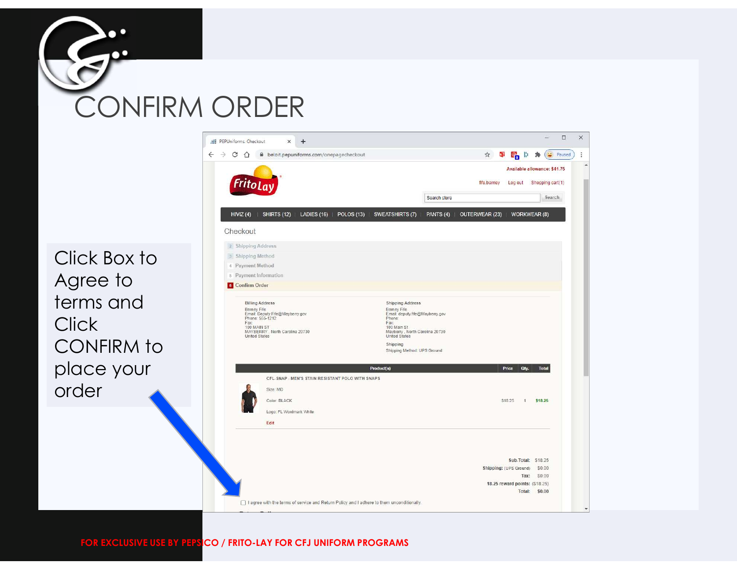![](_page_9_Picture_0.jpeg)

Click Box to **Click Box 1** Agree to terms and **Click** CONFIRM to ERRY, North Carolina 20730 place your order

![](_page_9_Picture_2.jpeg)